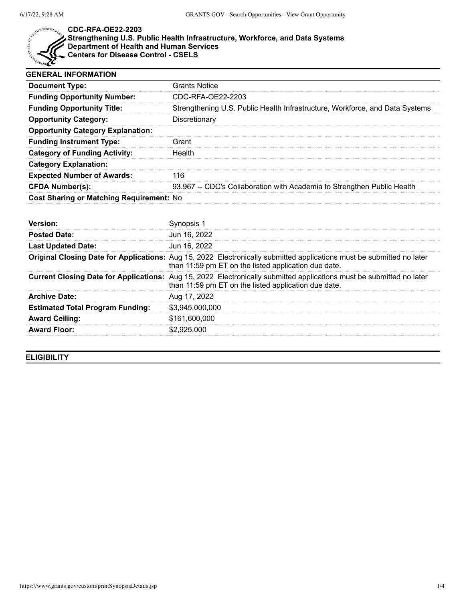

## **CDC-RFA-OE22-2203**

**Strengthening U.S. Public Health Infrastructure, Workforce, and Data Systems Department of Health and Human Services Centers for Disease Control - CSELS**

| <b>GENERAL INFORMATION</b>               |                                                                              |  |
|------------------------------------------|------------------------------------------------------------------------------|--|
| <b>Document Type:</b>                    | Grants Notice                                                                |  |
| <b>Funding Opportunity Number:</b>       | CDC-RFA-OE22-2203                                                            |  |
| <b>Funding Opportunity Title:</b>        | Strengthening U.S. Public Health Infrastructure, Workforce, and Data Systems |  |
| <b>Opportunity Category:</b>             | Discretionary                                                                |  |
| <b>Opportunity Category Explanation:</b> |                                                                              |  |
| <b>Funding Instrument Type:</b>          | Granti                                                                       |  |
| <b>Category of Funding Activity:</b>     | Health                                                                       |  |
| <b>Category Explanation:</b>             |                                                                              |  |
| <b>Expected Number of Awards:</b>        | 116                                                                          |  |
| <b>CFDA Number(s):</b>                   | 93.967 -- CDC's Collaboration with Academia to Strengthen Public Health      |  |
| Cost Sharing or Matching Requirement: No |                                                                              |  |

| Jun 16, 2022                                                                                                                                                                        |
|-------------------------------------------------------------------------------------------------------------------------------------------------------------------------------------|
| Jun 16, 2022                                                                                                                                                                        |
| Original Closing Date for Applications: Aug 15, 2022 Electronically submitted applications must be submitted no later<br>than 11:59 pm ET on the listed application due date.       |
| <b>Current Closing Date for Applications:</b> Aug 15, 2022 Electronically submitted applications must be submitted no later<br>than 11:59 pm ET on the listed application due date. |
| Aug 17, 2022                                                                                                                                                                        |
| \$3.945.000.000                                                                                                                                                                     |
| \$161,600,000                                                                                                                                                                       |
| -925.000                                                                                                                                                                            |
|                                                                                                                                                                                     |

**ELIGIBILITY**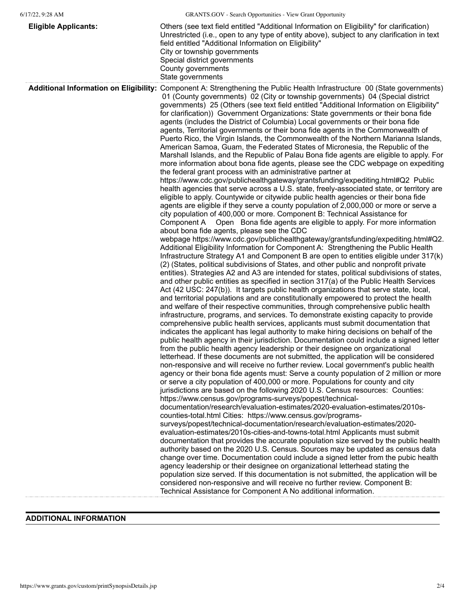| <b>Eligible Applicants:</b> | Others (see text field entitled "Additional Information on Eligibility" for clarification)<br>Unrestricted (i.e., open to any type of entity above), subject to any clarification in text<br>field entitled "Additional Information on Eligibility"<br>City or township governments<br>Special district governments<br>County governments<br>State governments                                                                                                                                                                                                                                                                                                                                                                                                                                                                                                                                                                                                                                                                                                                                                                                                                                                                                                                                                                                                                                                                                                                                                                                                                                                                                                                                                                                                                                                                                                                                                                                                                                                                                                                                                                                                                                                                                                                                                                                                                                                                                                                                                                                                                                                                                                                                                                                                                                                                                                                                                                                                                                                                                                                                                                                                                                                                                                                                                                                                                                                                                                                                                                                                                                                                                                                                                                                                                                                                                                                                                                                                                                                                                                                                                                                                                                     |
|-----------------------------|----------------------------------------------------------------------------------------------------------------------------------------------------------------------------------------------------------------------------------------------------------------------------------------------------------------------------------------------------------------------------------------------------------------------------------------------------------------------------------------------------------------------------------------------------------------------------------------------------------------------------------------------------------------------------------------------------------------------------------------------------------------------------------------------------------------------------------------------------------------------------------------------------------------------------------------------------------------------------------------------------------------------------------------------------------------------------------------------------------------------------------------------------------------------------------------------------------------------------------------------------------------------------------------------------------------------------------------------------------------------------------------------------------------------------------------------------------------------------------------------------------------------------------------------------------------------------------------------------------------------------------------------------------------------------------------------------------------------------------------------------------------------------------------------------------------------------------------------------------------------------------------------------------------------------------------------------------------------------------------------------------------------------------------------------------------------------------------------------------------------------------------------------------------------------------------------------------------------------------------------------------------------------------------------------------------------------------------------------------------------------------------------------------------------------------------------------------------------------------------------------------------------------------------------------------------------------------------------------------------------------------------------------------------------------------------------------------------------------------------------------------------------------------------------------------------------------------------------------------------------------------------------------------------------------------------------------------------------------------------------------------------------------------------------------------------------------------------------------------------------------------------------------------------------------------------------------------------------------------------------------------------------------------------------------------------------------------------------------------------------------------------------------------------------------------------------------------------------------------------------------------------------------------------------------------------------------------------------------------------------------------------------------------------------------------------------------------------------------------------------------------------------------------------------------------------------------------------------------------------------------------------------------------------------------------------------------------------------------------------------------------------------------------------------------------------------------------------------------------------------------------------------------------------------------------------------------|
|                             | Additional Information on Eligibility: Component A: Strengthening the Public Health Infrastructure 00 (State governments)<br>01 (County governments) 02 (City or township governments) 04 (Special district<br>governments) 25 (Others (see text field entitled "Additional Information on Eligibility"<br>for clarification)) Government Organizations: State governments or their bona fide<br>agents (includes the District of Columbia) Local governments or their bona fide<br>agents, Territorial governments or their bona fide agents in the Commonwealth of<br>Puerto Rico, the Virgin Islands, the Commonwealth of the Northern Marianna Islands,<br>American Samoa, Guam, the Federated States of Micronesia, the Republic of the<br>Marshall Islands, and the Republic of Palau Bona fide agents are eligible to apply. For<br>more information about bona fide agents, please see the CDC webpage on expediting<br>the federal grant process with an administrative partner at<br>https://www.cdc.gov/publichealthgateway/grantsfunding/expediting.html#Q2 Public<br>health agencies that serve across a U.S. state, freely-associated state, or territory are<br>eligible to apply. Countywide or citywide public health agencies or their bona fide<br>agents are eligible if they serve a county population of 2,000,000 or more or serve a<br>city population of 400,000 or more. Component B: Technical Assistance for<br>Component A Open Bona fide agents are eligible to apply. For more information<br>about bona fide agents, please see the CDC<br>webpage https://www.cdc.gov/publichealthgateway/grantsfunding/expediting.html#Q2.<br>Additional Eligibility Information for Component A: Strengthening the Public Health<br>Infrastructure Strategy A1 and Component B are open to entities eligible under 317(k)<br>(2) (States, political subdivisions of States, and other public and nonprofit private<br>entities). Strategies A2 and A3 are intended for states, political subdivisions of states,<br>and other public entities as specified in section 317(a) of the Public Health Services<br>Act (42 USC: 247(b)). It targets public health organizations that serve state, local,<br>and territorial populations and are constitutionally empowered to protect the health<br>and welfare of their respective communities, through comprehensive public health<br>infrastructure, programs, and services. To demonstrate existing capacity to provide<br>comprehensive public health services, applicants must submit documentation that<br>indicates the applicant has legal authority to make hiring decisions on behalf of the<br>public health agency in their jurisdiction. Documentation could include a signed letter<br>from the public health agency leadership or their designee on organizational<br>letterhead. If these documents are not submitted, the application will be considered<br>non-responsive and will receive no further review. Local government's public health<br>agency or their bona fide agents must: Serve a county population of 2 million or more<br>or serve a city population of 400,000 or more. Populations for county and city<br>jurisdictions are based on the following 2020 U.S. Census resources: Counties:<br>https://www.census.gov/programs-surveys/popest/technical-<br>documentation/research/evaluation-estimates/2020-evaluation-estimates/2010s-<br>counties-total.html Cities: https://www.census.gov/programs-<br>surveys/popest/technical-documentation/research/evaluation-estimates/2020-<br>evaluation-estimates/2010s-cities-and-towns-total.html Applicants must submit<br>documentation that provides the accurate population size served by the public health<br>authority based on the 2020 U.S. Census. Sources may be updated as census data<br>change over time. Documentation could include a signed letter from the pubic health<br>agency leadership or their designee on organizational letterhead stating the<br>population size served. If this documentation is not submitted, the application will be<br>considered non-responsive and will receive no further review. Component B: |
|                             | Technical Assistance for Component A No additional information.                                                                                                                                                                                                                                                                                                                                                                                                                                                                                                                                                                                                                                                                                                                                                                                                                                                                                                                                                                                                                                                                                                                                                                                                                                                                                                                                                                                                                                                                                                                                                                                                                                                                                                                                                                                                                                                                                                                                                                                                                                                                                                                                                                                                                                                                                                                                                                                                                                                                                                                                                                                                                                                                                                                                                                                                                                                                                                                                                                                                                                                                                                                                                                                                                                                                                                                                                                                                                                                                                                                                                                                                                                                                                                                                                                                                                                                                                                                                                                                                                                                                                                                                    |

## **ADDITIONAL INFORMATION**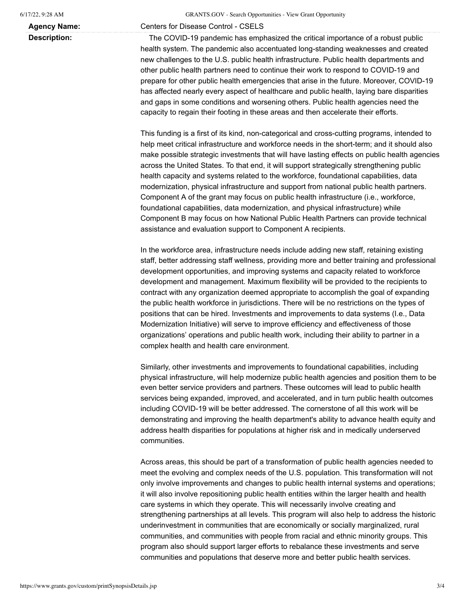**Agency Name:** Centers for Disease Control - CSELS

**Description:** The COVID-19 pandemic has emphasized the critical importance of a robust public health system. The pandemic also accentuated long-standing weaknesses and created new challenges to the U.S. public health infrastructure. Public health departments and other public health partners need to continue their work to respond to COVID-19 and prepare for other public health emergencies that arise in the future. Moreover, COVID-19 has affected nearly every aspect of healthcare and public health, laying bare disparities and gaps in some conditions and worsening others. Public health agencies need the capacity to regain their footing in these areas and then accelerate their efforts.

> This funding is a first of its kind, non-categorical and cross-cutting programs, intended to help meet critical infrastructure and workforce needs in the short-term; and it should also make possible strategic investments that will have lasting effects on public health agencies across the United States. To that end, it will support strategically strengthening public health capacity and systems related to the workforce, foundational capabilities, data modernization, physical infrastructure and support from national public health partners. Component A of the grant may focus on public health infrastructure (i.e., workforce, foundational capabilities, data modernization, and physical infrastructure) while Component B may focus on how National Public Health Partners can provide technical assistance and evaluation support to Component A recipients.

In the workforce area, infrastructure needs include adding new staff, retaining existing staff, better addressing staff wellness, providing more and better training and professional development opportunities, and improving systems and capacity related to workforce development and management. Maximum flexibility will be provided to the recipients to contract with any organization deemed appropriate to accomplish the goal of expanding the public health workforce in jurisdictions. There will be no restrictions on the types of positions that can be hired. Investments and improvements to data systems (I.e., Data Modernization Initiative) will serve to improve efficiency and effectiveness of those organizations' operations and public health work, including their ability to partner in a complex health and health care environment.

Similarly, other investments and improvements to foundational capabilities, including physical infrastructure, will help modernize public health agencies and position them to be even better service providers and partners. These outcomes will lead to public health services being expanded, improved, and accelerated, and in turn public health outcomes including COVID-19 will be better addressed. The cornerstone of all this work will be demonstrating and improving the health department's ability to advance health equity and address health disparities for populations at higher risk and in medically underserved communities.

Across areas, this should be part of a transformation of public health agencies needed to meet the evolving and complex needs of the U.S. population. This transformation will not only involve improvements and changes to public health internal systems and operations; it will also involve repositioning public health entities within the larger health and health care systems in which they operate. This will necessarily involve creating and strengthening partnerships at all levels. This program will also help to address the historic underinvestment in communities that are economically or socially marginalized, rural communities, and communities with people from racial and ethnic minority groups. This program also should support larger efforts to rebalance these investments and serve communities and populations that deserve more and better public health services.